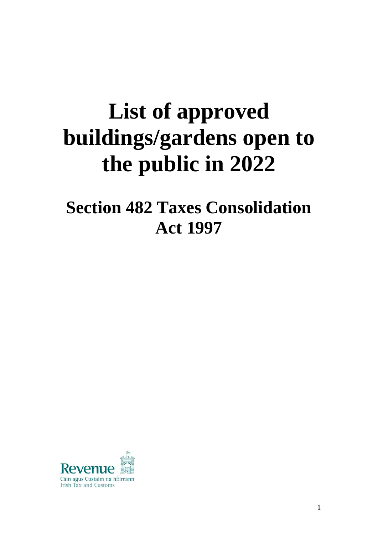# **List of approved buildings/gardens open to the public in 2022**

**Section 482 Taxes Consolidation Act 1997**

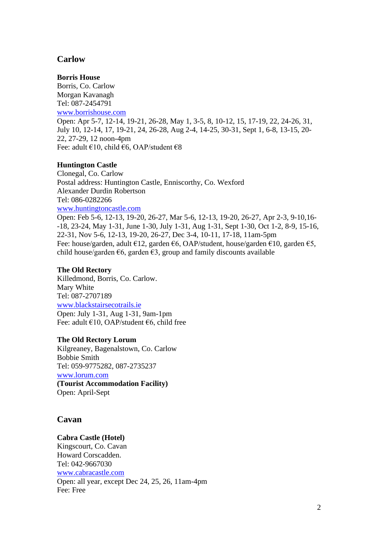# **Carlow**

# **Borris House**

Borris, Co. Carlow Morgan Kavanagh Tel: 087-2454791 [www.borrishouse.com](http://www.borrishouse.com/) Open: Apr 5-7, 12-14, 19-21, 26-28, May 1, 3-5, 8, 10-12, 15, 17-19, 22, 24-26, 31, July 10, 12-14, 17, 19-21, 24, 26-28, Aug 2-4, 14-25, 30-31, Sept 1, 6-8, 13-15, 20- 22, 27-29, 12 noon-4pm Fee: adult €10, child €6, OAP/student €8

# **Huntington Castle**

Clonegal, Co. Carlow Postal address: Huntington Castle, Enniscorthy, Co. Wexford Alexander Durdin Robertson Tel: 086-0282266 [www.huntingtoncastle.com](http://www.huntingtoncastle.com/) Open: Feb 5-6, 12-13, 19-20, 26-27, Mar 5-6, 12-13, 19-20, 26-27, Apr 2-3, 9-10,16-

-18, 23-24, May 1-31, June 1-30, July 1-31, Aug 1-31, Sept 1-30, Oct 1-2, 8-9, 15-16, 22-31, Nov 5-6, 12-13, 19-20, 26-27, Dec 3-4, 10-11, 17-18, 11am-5pm Fee: house/garden, adult €12, garden €6, OAP/student, house/garden €10, garden €5, child house/garden  $\epsilon$ 6, garden  $\epsilon$ 3, group and family discounts available

# **The Old Rectory**

Killedmond, Borris, Co. Carlow. Mary White Tel: 087-2707189 [www.blackstairsecotrails.ie](http://www.blackstairsecotrails.ie/) Open: July 1-31, Aug 1-31, 9am-1pm Fee: adult €10, OAP/student €6, child free

## **The Old Rectory Lorum**

Kilgreaney, Bagenalstown, Co. Carlow Bobbie Smith Tel: 059-9775282, 087-2735237 [www.lorum.com](http://www.lorum.com/) **(Tourist Accommodation Facility)** Open: April-Sept

# **Cavan**

# **Cabra Castle (Hotel)**

Kingscourt, Co. Cavan Howard Corscadden. Tel: 042-9667030 [www.cabracastle.com](http://www.cabracastle.com/) Open: all year, except Dec 24, 25, 26, 11am-4pm Fee: Free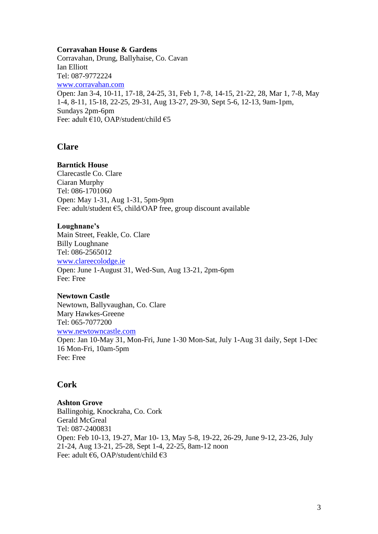#### **Corravahan House & Gardens**

Corravahan, Drung, Ballyhaise, Co. Cavan Ian Elliott Tel: 087-9772224 [www.corravahan.com](http://www.corravahan.com/) Open: Jan 3-4, 10-11, 17-18, 24-25, 31, Feb 1, 7-8, 14-15, 21-22, 28, Mar 1, 7-8, May 1-4, 8-11, 15-18, 22-25, 29-31, Aug 13-27, 29-30, Sept 5-6, 12-13, 9am-1pm, Sundays 2pm-6pm Fee: adult €10, OAP/student/child €5

# **Clare**

#### **Barntick House**

Clarecastle Co. Clare Ciaran Murphy Tel: 086-1701060 Open: May 1-31, Aug 1-31, 5pm-9pm Fee: adult/student €5, child/OAP free, group discount available

#### **Loughnane's**

Main Street, Feakle, Co. Clare Billy Loughnane Tel: 086-2565012 [www.clareecolodge.ie](http://www.clareecolodge.ie/) Open: June 1-August 31, Wed-Sun, Aug 13-21, 2pm-6pm Fee: Free

#### **Newtown Castle**

Newtown, Ballyvaughan, Co. Clare Mary Hawkes-Greene Tel: 065-7077200 [www.newtowncastle.com](http://www.newtowncastle.com/)

Open: Jan 10-May 31, Mon-Fri, June 1-30 Mon-Sat, July 1-Aug 31 daily, Sept 1-Dec 16 Mon-Fri, 10am-5pm Fee: Free

# **Cork**

# **Ashton Grove**

Ballingohig, Knockraha, Co. Cork Gerald McGreal Tel: 087-2400831 Open: Feb 10-13, 19-27, Mar 10- 13, May 5-8, 19-22, 26-29, June 9-12, 23-26, July 21-24, Aug 13-21, 25-28, Sept 1-4, 22-25, 8am-12 noon Fee: adult €6, OAP/student/child €3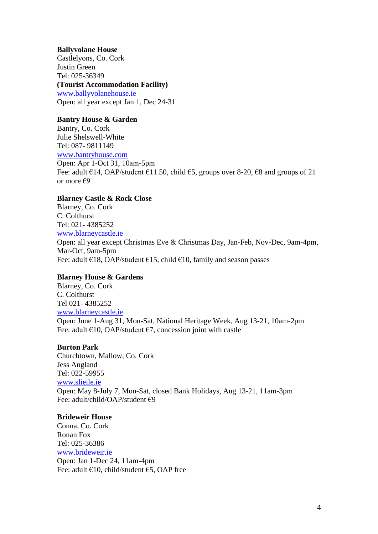## **Ballyvolane House**

Castlelyons, Co. Cork Justin Green Tel: [025-36349](tel:025-36349) **(Tourist Accommodation Facility)** [www.ballyvolanehouse.ie](http://www.ballyvolanehouse.ie/) Open: all year except Jan 1, Dec 24-31

# **Bantry House & Garden**

Bantry, Co. Cork Julie Shelswell-White Tel: 087- 9811149 [www.bantryhouse.com](http://www.bantryhouse.com/) Open: Apr 1-Oct 31, 10am-5pm Fee: adult  $\epsilon$ 14, OAP/student  $\epsilon$ 11.50, child  $\epsilon$ 5, groups over 8-20,  $\epsilon$ 8 and groups of 21 or more €9

## **Blarney Castle & Rock Close**

Blarney, Co. Cork C. Colthurst Tel: 021- 4385252 [www.blarneycastle.ie](http://www.blarneycastle.ie/) Open: all year except Christmas Eve & Christmas Day, Jan-Feb, Nov-Dec, 9am-4pm, Mar-Oct, 9am-5pm Fee: adult  $\epsilon$ 18, OAP/student  $\epsilon$ 15, child  $\epsilon$ 10, family and season passes

## **Blarney House & Gardens**

Blarney, Co. Cork C. Colthurst Tel 021- 4385252 [www.blarneycastle.ie](http://www.blarneycastle.ie/) Open: June 1-Aug 31, Mon-Sat, National Heritage Week, Aug 13-21, 10am-2pm Fee: adult  $\epsilon$ 10, OAP/student  $\epsilon$ 7, concession joint with castle

## **Burton Park**

Churchtown, Mallow, Co. Cork Jess Angland Tel: 022-59955 [www.slieile.ie](http://www.slieile.ie/) Open: May 8-July 7, Mon-Sat, closed Bank Holidays, Aug 13-21, 11am-3pm Fee: adult/child/OAP/student €9

## **Brideweir House**

Conna, Co. Cork Ronan Fox Tel: 025-36386 [www.brideweir.ie](http://www.brideweir.ie/) Open: Jan 1-Dec 24, 11am-4pm Fee: adult €10, child/student €5, OAP free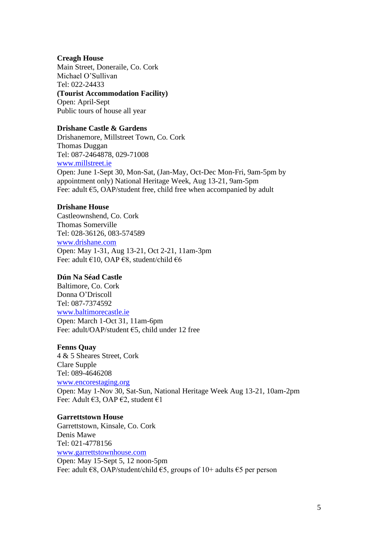#### **Creagh House**

Main Street, Doneraile, Co. Cork Michael O'Sullivan Tel: 022-24433 **(Tourist Accommodation Facility)** Open: April-Sept Public tours of house all year

# **Drishane Castle & Gardens**

Drishanemore, Millstreet Town, Co. Cork Thomas Duggan Tel: 087-2464878, 029-71008 [www.millstreet.ie](http://www.millstreet.ie/)

Open: June 1-Sept 30, Mon-Sat, (Jan-May, Oct-Dec Mon-Fri, 9am-5pm by appointment only) National Heritage Week, Aug 13-21, 9am-5pm Fee: adult €5, OAP/student free, child free when accompanied by adult

## **Drishane House**

Castleownshend, Co. Cork Thomas Somerville Tel: 028-36126, 083-574589 [www.drishane.com](http://www.drishane.com/) Open: May 1-31, Aug 13-21, Oct 2-21, 11am-3pm Fee: adult €10, OAP €8, student/child €6

#### **Dún Na Séad Castle**

Baltimore, Co. Cork Donna O'Driscoll Tel: 087-7374592 [www.baltimorecastle.ie](http://www.baltimorecastle.ie/) Open: March 1-Oct 31, 11am-6pm Fee: adult/OAP/student €5, child under 12 free

#### **Fenns Quay**

4 & 5 Sheares Street, Cork Clare Supple Tel: 089-4646208 [www.encorestaging.org](http://www.encorestaging.org/) Open: May 1-Nov 30, Sat-Sun, National Heritage Week Aug 13-21, 10am-2pm Fee: Adult €3, OAP €2, student €1

#### **Garrettstown House**

Garrettstown, Kinsale, Co. Cork Denis Mawe Tel: 021-4778156 [www.garrettstownhouse.com](http://www.garrettstownhouse.com/) Open: May 15-Sept 5, 12 noon-5pm Fee: adult  $\epsilon$ 8, OAP/student/child  $\epsilon$ 5, groups of 10+ adults  $\epsilon$ 5 per person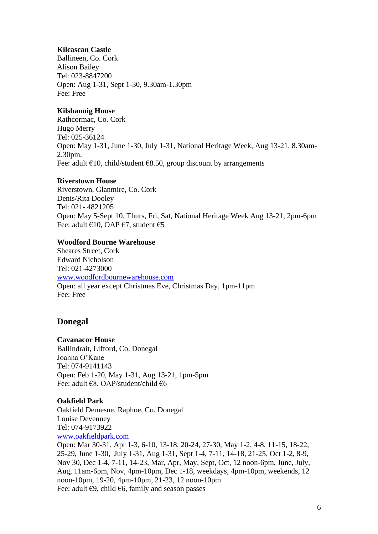## **Kilcascan Castle**

Ballineen, Co. Cork Alison Bailey Tel: 023-8847200 Open: Aug 1-31, Sept 1-30, 9.30am-1.30pm Fee: Free

#### **Kilshannig House**

Rathcormac, Co. Cork Hugo Merry Tel: 025-36124 Open: May 1-31, June 1-30, July 1-31, National Heritage Week, Aug 13-21, 8.30am-2.30pm, Fee: adult  $\epsilon$ 10, child/student  $\epsilon$ 8.50, group discount by arrangements

#### **Riverstown House**

Riverstown, Glanmire, Co. Cork Denis/Rita Dooley Tel: 021- 4821205 Open: May 5-Sept 10, Thurs, Fri, Sat, National Heritage Week Aug 13-21, 2pm-6pm Fee: adult  $\epsilon$ 10, OAP  $\epsilon$ 7, student  $\epsilon$ 5

#### **Woodford Bourne Warehouse**

Sheares Street, Cork Edward Nicholson Tel: 021-4273000 [www.woodfordbournewarehouse.com](http://www.woodfordbournewarehouse.com/) Open: all year except Christmas Eve, Christmas Day, 1pm-11pm Fee: Free

## **Donegal**

#### **Cavanacor House**

Ballindrait, Lifford, Co. Donegal Joanna O'Kane Tel: 074-9141143 Open: Feb 1-20, May 1-31, Aug 13-21, 1pm-5pm Fee: adult €8, OAP/student/child €6

#### **Oakfield Park**

Oakfield Demesne, Raphoe, Co. Donegal Louise Devenney Tel: 074-9173922 [www.oakfieldpark.com](http://www.oakfieldpark.com/)

Open: Mar 30-31, Apr 1-3, 6-10, 13-18, 20-24, 27-30, May 1-2, 4-8, 11-15, 18-22, 25-29, June 1-30, July 1-31, Aug 1-31, Sept 1-4, 7-11, 14-18, 21-25, Oct 1-2, 8-9, Nov 30, Dec 1-4, 7-11, 14-23, Mar, Apr, May, Sept, Oct, 12 noon-6pm, June, July, Aug, 11am-6pm, Nov, 4pm-10pm, Dec 1-18, weekdays, 4pm-10pm, weekends, 12 noon-10pm, 19-20, 4pm-10pm, 21-23, 12 noon-10pm Fee: adult  $\epsilon$ 9, child  $\epsilon$ 6, family and season passes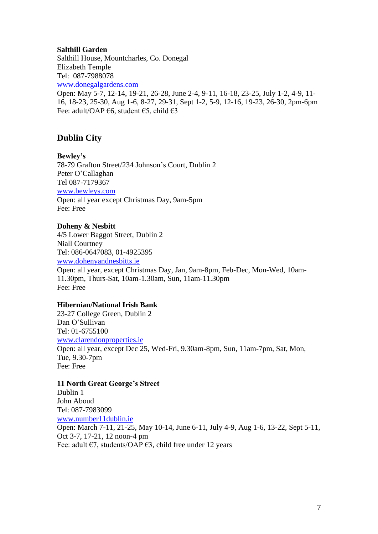#### **Salthill Garden**

Salthill House, Mountcharles, Co. Donegal Elizabeth Temple Tel: 087-7988078 [www.donegalgardens.com](http://www.donegalgardens.com/) Open: May 5-7, 12-14, 19-21, 26-28, June 2-4, 9-11, 16-18, 23-25, July 1-2, 4-9, 11- 16, 18-23, 25-30, Aug 1-6, 8-27, 29-31, Sept 1-2, 5-9, 12-16, 19-23, 26-30, 2pm-6pm Fee: adult/OAP €6, student €5, child €3

# **Dublin City**

**Bewley's** 

78-79 Grafton Street/234 Johnson's Court, Dublin 2 Peter O'Callaghan Tel 087-7179367 [www.bewleys.com](http://www.bewleys.com/) Open: all year except Christmas Day, 9am-5pm Fee: Free

## **Doheny & Nesbitt**

4/5 Lower Baggot Street, Dublin 2 Niall Courtney Tel: 086-0647083, 01-4925395 [www.dohenyandnesbitts.ie](http://www.dohenyandnesbitts.ie/) Open: all year, except Christmas Day, Jan, 9am-8pm, Feb-Dec, Mon-Wed, 10am-11.30pm, Thurs-Sat, 10am-1.30am, Sun, 11am-11.30pm Fee: Free

## **Hibernian/National Irish Bank**

23-27 College Green, Dublin 2 Dan O'Sullivan Tel: 01-6755100 [www.clarendonproperties.ie](http://www.clarendonproperties.ie/) Open: all year, except Dec 25, Wed-Fri, 9.30am-8pm, Sun, 11am-7pm, Sat, Mon, Tue, 9.30-7pm Fee: Free

## **11 North Great George's Street**

Dublin 1 John Aboud Tel: [087-7983099](tel:087-7983099) [www.number11dublin.ie](http://www.number11dublin.ie/) Open: March 7-11, 21-25, May 10-14, June 6-11, July 4-9, Aug 1-6, 13-22, Sept 5-11, Oct 3-7, 17-21, 12 noon-4 pm Fee: adult  $\epsilon$ 7, students/OAP  $\epsilon$ 3, child free under 12 years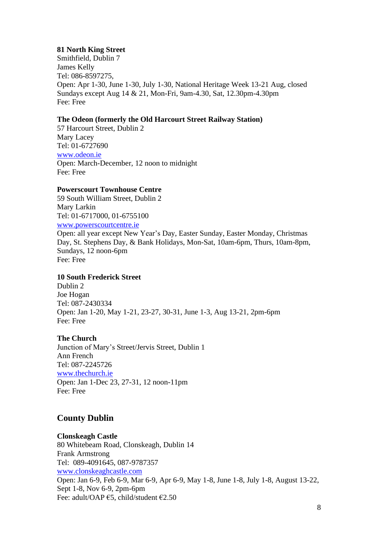# **81 North King Street**

Smithfield, Dublin 7 James Kelly Tel: 086-8597275, Open: Apr 1-30, June 1-30, July 1-30, National Heritage Week 13-21 Aug, closed Sundays except Aug 14 & 21, Mon-Fri, 9am-4.30, Sat, 12.30pm-4.30pm Fee: Free

# **The Odeon (formerly the Old Harcourt Street Railway Station)**

57 Harcourt Street, Dublin 2 Mary Lacey Tel: 01-6727690 [www.odeon.ie](http://www.odeon.ie/) Open: March-December, 12 noon to midnight Fee: Free

## **Powerscourt Townhouse Centre**

59 South William Street, Dublin 2 Mary Larkin Tel: 01-6717000, 01-6755100 [www.powerscourtcentre.ie](http://www.powerscourtcentre.ie/) Open: all year except New Year's Day, Easter Sunday, Easter Monday, Christmas Day, St. Stephens Day, & Bank Holidays, Mon-Sat, 10am-6pm, Thurs, 10am-8pm, Sundays, 12 noon-6pm Fee: Free

## **10 South Frederick Street**

Dublin 2 Joe Hogan Tel: 087-2430334 Open: Jan 1-20, May 1-21, 23-27, 30-31, June 1-3, Aug 13-21, 2pm-6pm Fee: Free

# **The Church**

Junction of Mary's Street/Jervis Street, Dublin 1 Ann French Tel: 087-2245726 [www.thechurch.ie](http://www.thechurch.ie/) Open: Jan 1-Dec 23, 27-31, 12 noon-11pm Fee: Free

# **County Dublin**

# **Clonskeagh Castle**

80 Whitebeam Road, Clonskeagh, Dublin 14 Frank Armstrong Tel: 089-4091645, 087-9787357 [www.clonskeaghcastle.com](http://www.clonskeaghcastle.com/) Open: Jan 6-9, Feb 6-9, Mar 6-9, Apr 6-9, May 1-8, June 1-8, July 1-8, August 13-22, Sept 1-8, Nov 6-9, 2pm-6pm Fee: adult/OAP €5, child/student €2.50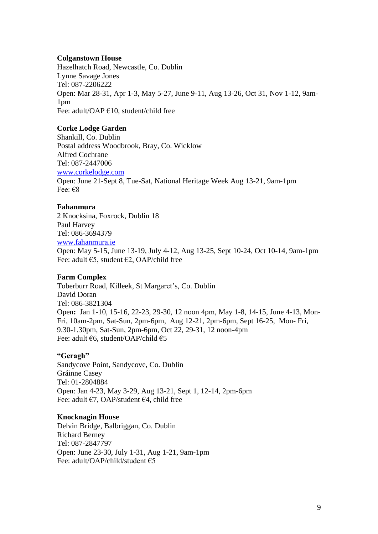#### **Colganstown House**

Hazelhatch Road, Newcastle, Co. Dublin Lynne Savage Jones Tel: 087-2206222 Open: Mar 28-31, Apr 1-3, May 5-27, June 9-11, Aug 13-26, Oct 31, Nov 1-12, 9am-1pm Fee: adult/OAP €10, student/child free

## **Corke Lodge Garden**

Shankill, Co. Dublin Postal address Woodbrook, Bray, Co. Wicklow Alfred Cochrane Tel: 087-2447006 [www.corkelodge.com](http://www.corkelodge.com/) Open: June 21-Sept 8, Tue-Sat, National Heritage Week Aug 13-21, 9am-1pm Fee: €8

# **Fahanmura**

2 Knocksina, Foxrock, Dublin 18 Paul Harvey Tel: 086-3694379 [www.fahanmura.ie](http://www.fahanmura.ie/) Open: May 5-15, June 13-19, July 4-12, Aug 13-25, Sept 10-24, Oct 10-14, 9am-1pm Fee: adult  $\epsilon$ 5, student  $\epsilon$ 2, OAP/child free

## **Farm Complex**

Toberburr Road, Killeek, St Margaret's, Co. Dublin David Doran Tel: 086-3821304 Open**:** Jan 1-10, 15-16, 22-23, 29-30, 12 noon 4pm, May 1-8, 14-15, June 4-13, Mon-Fri, 10am-2pm, Sat-Sun, 2pm-6pm, Aug 12-21, 2pm-6pm, Sept 16-25, Mon- Fri, 9.30-1.30pm, Sat-Sun, 2pm-6pm, Oct 22, 29-31, 12 noon-4pm Fee: adult €6, student/OAP/child €5

## **"Geragh"**

Sandycove Point, Sandycove, Co. Dublin Gráinne Casey Tel: 01-2804884 Open: Jan 4-23, May 3-29, Aug 13-21, Sept 1, 12-14, 2pm-6pm Fee: adult €7, OAP/student €4, child free

## **Knocknagin House**

Delvin Bridge, Balbriggan, Co. Dublin Richard Berney Tel: 087-2847797 Open: June 23-30, July 1-31, Aug 1-21, 9am-1pm Fee: adult/OAP/child/student €5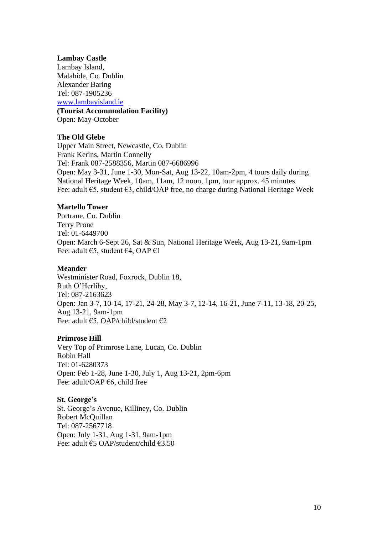#### **Lambay Castle**

Lambay Island, Malahide, Co. Dublin Alexander Baring Tel: 087-1905236 [www.lambayisland.ie](http://www.lambayisland.ie/) **(Tourist Accommodation Facility)** Open: May-October

## **The Old Glebe**

Upper Main Street, Newcastle, Co. Dublin Frank Kerins, Martin Connelly Tel: Frank 087-2588356, Martin 087-6686996 Open: May 3-31, June 1-30, Mon-Sat, Aug 13-22, 10am-2pm, 4 tours daily during National Heritage Week, 10am, 11am, 12 noon, 1pm, tour approx. 45 minutes Fee: adult €5, student €3, child/OAP free, no charge during National Heritage Week

## **Martello Tower**

Portrane, Co. Dublin Terry Prone Tel: 01-6449700 Open: March 6-Sept 26, Sat & Sun, National Heritage Week, Aug 13-21, 9am-1pm Fee: adult €5, student €4, OAP €1

## **Meander**

Westminister Road, Foxrock, Dublin 18, Ruth O'Herlihy, Tel: 087-2163623 Open: Jan 3-7, 10-14, 17-21, 24-28, May 3-7, 12-14, 16-21, June 7-11, 13-18, 20-25, Aug 13-21, 9am-1pm Fee: adult €5, OAP/child/student €2

## **Primrose Hill**

Very Top of Primrose Lane, Lucan, Co. Dublin Robin Hall Tel: 01-6280373 Open: Feb 1-28, June 1-30, July 1, Aug 13-21, 2pm-6pm Fee: adult/OAP €6, child free

**St. George's** St. George's Avenue, Killiney, Co. Dublin Robert McQuillan Tel: 087-2567718 Open: July 1-31, Aug 1-31, 9am-1pm Fee: adult €5 OAP/student/child €3.50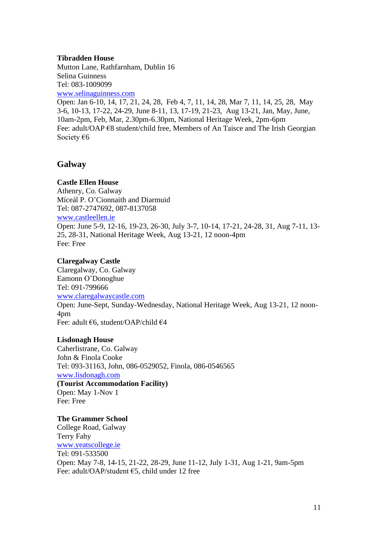#### **Tibradden House**

Mutton Lane, Rathfarnham, Dublin 16 Selina Guinness Tel: 083-1009099 [www.selinaguinness.com](http://www.selinaguinness.com/)

Open: Jan 6-10, 14, 17, 21, 24, 28, Feb 4, 7, 11, 14, 28, Mar 7, 11, 14, 25, 28, May 3-6, 10-13, 17-22, 24-29, June 8-11, 13, 17-19, 21-23, Aug 13-21, Jan, May, June, 10am-2pm, Feb, Mar, 2.30pm-6.30pm, National Heritage Week, 2pm-6pm Fee: adult/OAP €8 student/child free, Members of An Taisce and The Irish Georgian Society €6

# **Galway**

## **Castle Ellen House**

Athenry, Co. Galway Míceál P. O'Cionnaith and Diarmuid Tel: 087-2747692, 087-8137058 [www.castleellen.ie](http://www.castleellen.com/) Open: June 5-9, 12-16, 19-23, 26-30, July 3-7, 10-14, 17-21, 24-28, 31, Aug 7-11, 13- 25, 28-31, National Heritage Week, Aug 13-21, 12 noon-4pm Fee: Free

# **Claregalway Castle**

Claregalway, Co. Galway Eamonn O'Donoghue Tel: 091-799666 [www.claregalwaycastle.com](http://www.claregalwaycastle.com/) Open: June-Sept, Sunday-Wednesday, National Heritage Week, Aug 13-21, 12 noon-4pm Fee: adult €6, student/OAP/child €4

## **Lisdonagh House**

Caherlistrane, Co. Galway John & Finola Cooke Tel: 093-31163, John, 086-0529052, Finola, 086-0546565 [www.lisdonagh.com](http://www.lisdonagh.com/) **(Tourist Accommodation Facility)** Open: May 1-Nov 1 Fee: Free

**The Grammer School** College Road, Galway Terry Fahy [www.yeatscollege.ie](http://www.yeatscollege.ie/) Tel: 091-533500 Open: May 7-8, 14-15, 21-22, 28-29, June 11-12, July 1-31, Aug 1-21, 9am-5pm Fee: adult/OAP/student €5, child under 12 free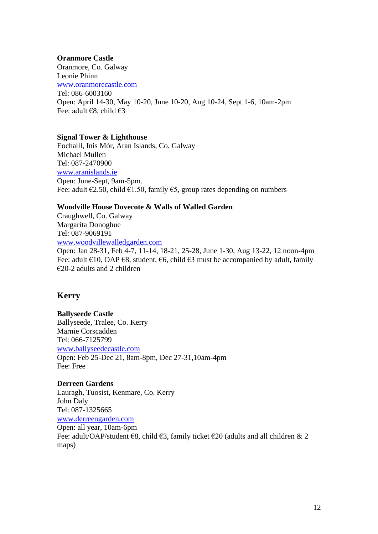#### **Oranmore Castle**

Oranmore, Co. Galway Leonie Phinn [www.oranmorecastle.com](http://www.orammorecastle.com/) Tel: 086-6003160 Open: April 14-30, May 10-20, June 10-20, Aug 10-24, Sept 1-6, 10am-2pm Fee: adult €8, child €3

#### **Signal Tower & Lighthouse**

Eochaill, Inis Mór, Aran Islands, Co. Galway Michael Mullen Tel: 087-2470900 [www.aranislands.ie](http://www.aranislands.ie/) Open: June-Sept, 9am-5pm. Fee: adult  $\epsilon$ 2.50, child  $\epsilon$ 1.50, family  $\epsilon$ 5, group rates depending on numbers

## **Woodville House Dovecote & Walls of Walled Garden**

Craughwell, Co. Galway Margarita Donoghue Tel: 087-9069191 [www.woodvillewalledgarden.com](http://www.woodvillewalledgarden.com/)

Open: Jan 28-31, Feb 4-7, 11-14, 18-21, 25-28, June 1-30, Aug 13-22, 12 noon-4pm Fee: adult  $\epsilon$ 10, OAP  $\epsilon$ 8, student,  $\epsilon$ 6, child  $\epsilon$ 3 must be accompanied by adult, family €20-2 adults and 2 children

# **Kerry**

# **Ballyseede Castle** Ballyseede, Tralee, Co. Kerry Marnie Corscadden Tel: 066-7125799 [www.ballyseedecastle.com](http://www.ballyseedecastle.com/) Open: Feb 25-Dec 21, 8am-8pm, Dec 27-31,10am-4pm Fee: Free

#### **Derreen Gardens**

Lauragh, Tuosist, Kenmare, Co. Kerry John Daly Tel: 087-1325665 [www.derreengarden.com](http://www.derrengarden.com/) Open: all year, 10am-6pm Fee: adult/OAP/student  $\epsilon$ 8, child  $\epsilon$ 3, family ticket  $\epsilon$ 20 (adults and all children & 2 maps)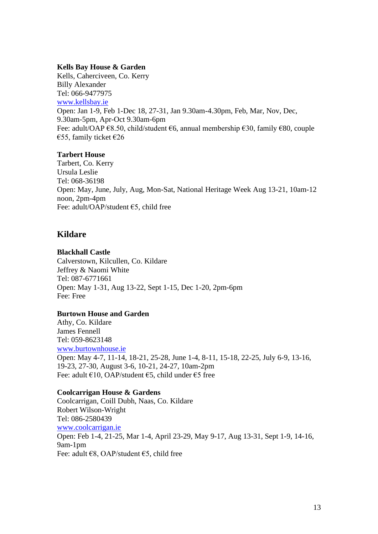# **Kells Bay House & Garden**

Kells, Caherciveen, Co. Kerry Billy Alexander Tel: 066-9477975 [www.kellsbay.ie](http://www.kellsbay.ie/) Open: Jan 1-9, Feb 1-Dec 18, 27-31, Jan 9.30am-4.30pm, Feb, Mar, Nov, Dec, 9.30am-5pm, Apr-Oct 9.30am-6pm Fee: adult/OAP €8.50, child/student €6, annual membership €30, family €80, couple €55, family ticket  $€26$ 

# **Tarbert House**

Tarbert, Co. Kerry Ursula Leslie Tel: 068-36198 Open: May, June, July, Aug, Mon-Sat, National Heritage Week Aug 13-21, 10am-12 noon, 2pm-4pm Fee: adult/OAP/student €5, child free

# **Kildare**

## **Blackhall Castle**

Calverstown, Kilcullen, Co. Kildare Jeffrey & Naomi White Tel: 087-6771661 Open: May 1-31, Aug 13-22, Sept 1-15, Dec 1-20, 2pm-6pm Fee: Free

# **Burtown House and Garden**

Athy, Co. Kildare James Fennell Tel: 059-8623148 [www.burtownhouse.ie](http://www.burtownhouse.ie/) Open: May 4-7, 11-14, 18-21, 25-28, June 1-4, 8-11, 15-18, 22-25, July 6-9, 13-16, 19-23, 27-30, August 3-6, 10-21, 24-27, 10am-2pm Fee: adult €10, OAP/student €5, child under €5 free

# **Coolcarrigan House & Gardens**

Coolcarrigan, Coill Dubh, Naas, Co. Kildare Robert Wilson-Wright Tel: 086-2580439 [www.coolcarrigan.ie](http://www.coolcarrigan.ie/) Open: Feb 1-4, 21-25, Mar 1-4, April 23-29, May 9-17, Aug 13-31, Sept 1-9, 14-16, 9am-1pm Fee: adult €8, OAP/student €5, child free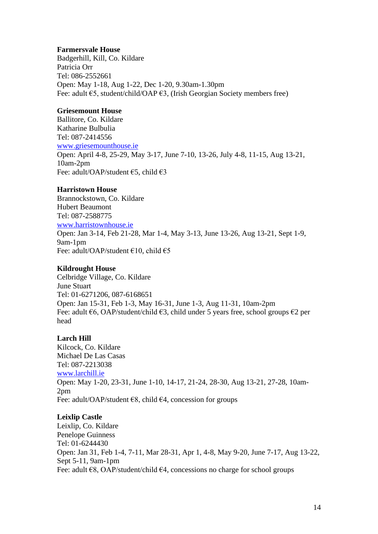## **Farmersvale House**

Badgerhill, Kill, Co. Kildare Patricia Orr Tel: 086-2552661 Open: May 1-18, Aug 1-22, Dec 1-20, 9.30am-1.30pm Fee: adult €5, student/child/OAP €3, (Irish Georgian Society members free)

# **Griesemount House**

Ballitore, Co. Kildare Katharine Bulbulia Tel: 087-2414556 [www.griesemounthouse.ie](http://www.griesemounthouse.ie/) Open: April 4-8, 25-29, May 3-17, June 7-10, 13-26, July 4-8, 11-15, Aug 13-21, 10am-2pm Fee: adult/OAP/student €5, child €3

# **Harristown House**

Brannockstown, Co. Kildare Hubert Beaumont Tel: 087-2588775 [www.harristownhouse.ie](http://www.harristownhouse.com/) Open: Jan 3-14, Feb 21-28, Mar 1-4, May 3-13, June 13-26, Aug 13-21, Sept 1-9, 9am-1pm Fee: adult/OAP/student €10, child €5

# **Kildrought House**

Celbridge Village, Co. Kildare June Stuart Tel: 01-6271206, 087-6168651 Open: Jan 15-31, Feb 1-3, May 16-31, June 1-3, Aug 11-31, 10am-2pm Fee: adult  $\epsilon$ 6, OAP/student/child  $\epsilon$ 3, child under 5 years free, school groups  $\epsilon$ 2 per head

# **Larch Hill**

Kilcock, Co. Kildare Michael De Las Casas Tel: 087-2213038 [www.larchill.ie](http://www.larchill.ie/) Open: May 1-20, 23-31, June 1-10, 14-17, 21-24, 28-30, Aug 13-21, 27-28, 10am-2pm Fee: adult/OAP/student  $€8$ , child  $€4$ , concession for groups

# **Leixlip Castle**

Leixlip, Co. Kildare Penelope Guinness Tel: 01-6244430 Open: Jan 31, Feb 1-4, 7-11, Mar 28-31, Apr 1, 4-8, May 9-20, June 7-17, Aug 13-22, Sept 5-11, 9am-1pm Fee: adult  $E8$ , OAP/student/child  $E4$ , concessions no charge for school groups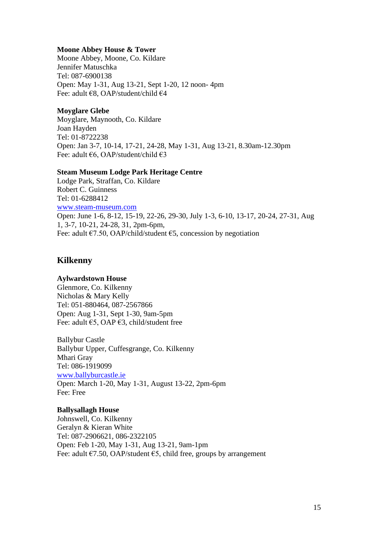#### **Moone Abbey House & Tower**

Moone Abbey, Moone, Co. Kildare Jennifer Matuschka Tel: 087-6900138 Open: May 1-31, Aug 13-21, Sept 1-20, 12 noon- 4pm Fee: adult €8, OAP/student/child €4

#### **Moyglare Glebe**

Moyglare, Maynooth, Co. Kildare Joan Hayden Tel: 01-8722238 Open: Jan 3-7, 10-14, 17-21, 24-28, May 1-31, Aug 13-21, 8.30am-12.30pm Fee: adult €6, OAP/student/child €3

#### **Steam Museum Lodge Park Heritage Centre**

Lodge Park, Straffan, Co. Kildare Robert C. Guinness Tel: 01-6288412 [www.steam-museum.com](http://www.steam-museum.com/) Open: June 1-6, 8-12, 15-19, 22-26, 29-30, July 1-3, 6-10, 13-17, 20-24, 27-31, Aug 1, 3-7, 10-21, 24-28, 31, 2pm-6pm, Fee: adult  $\epsilon$ 7.50, OAP/child/student  $\epsilon$ 5, concession by negotiation

# **Kilkenny**

## **Aylwardstown House**

Glenmore, Co. Kilkenny Nicholas & Mary Kelly Tel: 051-880464, 087-2567866 Open: Aug 1-31, Sept 1-30, 9am-5pm Fee: adult €5, OAP €3, child/student free

Ballybur Castle Ballybur Upper, Cuffesgrange, Co. Kilkenny Mhari Gray Tel: 086-1919099 [www.ballyburcastle.ie](http://www.ballyburcastle.ie/) Open: March 1-20, May 1-31, August 13-22, 2pm-6pm Fee: Free

#### **Ballysallagh House**

Johnswell, Co. Kilkenny Geralyn & Kieran White Tel: 087-2906621, 086-2322105 Open: Feb 1-20, May 1-31, Aug 13-21, 9am-1pm Fee: adult  $\epsilon$ 7.50, OAP/student  $\epsilon$ 5, child free, groups by arrangement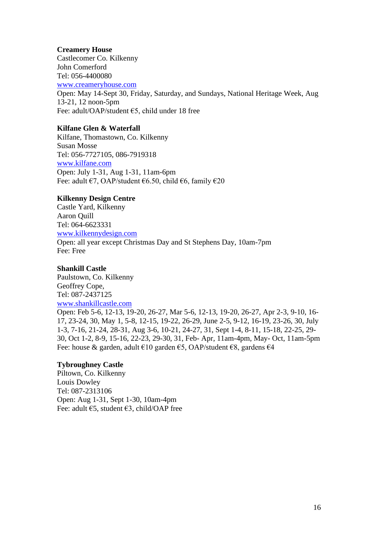#### **Creamery House**

Castlecomer Co. Kilkenny John Comerford Tel: 056-4400080 [www.creameryhouse.com](http://www.creameryhouse.com/) Open: May 14-Sept 30, Friday, Saturday, and Sundays, National Heritage Week, Aug 13-21, 12 noon-5pm Fee: adult/OAP/student €5, child under 18 free

## **Kilfane Glen & Waterfall**

Kilfane, Thomastown, Co. Kilkenny Susan Mosse Tel: 056-7727105, 086-7919318 [www.kilfane.com](http://www.kilfane.com/) Open: July 1-31, Aug 1-31, 11am-6pm Fee: adult €7, OAP/student €6.50, child €6, family €20

# **Kilkenny Design Centre**

Castle Yard, Kilkenny Aaron Quill Tel: 064-6623331 [www.kilkennydesign.com](http://www.kilkennydesign.com/) Open: all year except Christmas Day and St Stephens Day, 10am-7pm Fee: Free

## **Shankill Castle**

Paulstown, Co. Kilkenny Geoffrey Cope, Tel: 087-2437125 [www.shankillcastle.com](http://www.shankillcastle.com/)

Open: Feb 5-6, 12-13, 19-20, 26-27, Mar 5-6, 12-13, 19-20, 26-27, Apr 2-3, 9-10, 16- 17, 23-24, 30, May 1, 5-8, 12-15, 19-22, 26-29, June 2-5, 9-12, 16-19, 23-26, 30, July 1-3, 7-16, 21-24, 28-31, Aug 3-6, 10-21, 24-27, 31, Sept 1-4, 8-11, 15-18, 22-25, 29- 30, Oct 1-2, 8-9, 15-16, 22-23, 29-30, 31, Feb- Apr, 11am-4pm, May- Oct, 11am-5pm Fee: house & garden, adult €10 garden €5, OAP/student €8, gardens €4

## **Tybroughney Castle**

Piltown, Co. Kilkenny Louis Dowley Tel: 087-2313106 Open: Aug 1-31, Sept 1-30, 10am-4pm Fee: adult  $\epsilon$ 5, student  $\epsilon$ 3, child/OAP free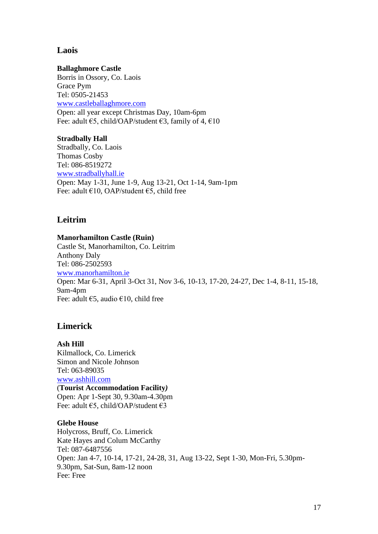# **Laois**

#### **Ballaghmore Castle**

Borris in Ossory, Co. Laois Grace Pym Tel: 0505-21453 [www.castleballaghmore.com](http://www.castleballaghmore.com/) Open: all year except Christmas Day, 10am-6pm Fee: adult  $\epsilon$ 5, child/OAP/student  $\epsilon$ 3, family of 4,  $\epsilon$ 10

#### **Stradbally Hall**

Stradbally, Co. Laois Thomas Cosby Tel: 086-8519272 [www.stradballyhall.ie](http://www.stradballyhall.ie/) Open: May 1-31, June 1-9, Aug 13-21, Oct 1-14, 9am-1pm Fee: adult €10, OAP/student €5, child free

# **Leitrim**

## **Manorhamilton Castle (Ruin)**

Castle St, Manorhamilton, Co. Leitrim Anthony Daly Tel: 086-2502593 [www.manorhamilton.ie](http://www.manorhamilton.ie/) Open: Mar 6-31, April 3-Oct 31, Nov 3-6, 10-13, 17-20, 24-27, Dec 1-4, 8-11, 15-18, 9am-4pm Fee: adult  $\epsilon$ 5, audio  $\epsilon$ 10, child free

# **Limerick**

**Ash Hill**  Kilmallock, Co. Limerick Simon and Nicole Johnson Tel: 063-89035 [www.ashhill.com](http://www.ashhill.com/) (**Tourist Accommodation Facility***)* Open: Apr 1-Sept 30, 9.30am-4.30pm Fee: adult €5, child/OAP/student €3

#### **Glebe House**

Holycross, Bruff, Co. Limerick Kate Hayes and Colum McCarthy Tel: 087-6487556 Open: Jan 4-7, 10-14, 17-21, 24-28, 31, Aug 13-22, Sept 1-30, Mon-Fri, 5.30pm-9.30pm, Sat-Sun, 8am-12 noon Fee: Free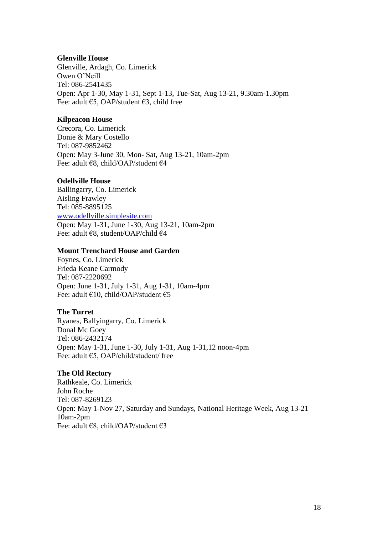#### **Glenville House**

Glenville, Ardagh, Co. Limerick Owen O'Neill Tel: 086-2541435 Open: Apr 1-30, May 1-31, Sept 1-13, Tue-Sat, Aug 13-21, 9.30am-1.30pm Fee: adult  $\epsilon$ 5, OAP/student  $\epsilon$ 3, child free

## **Kilpeacon House**

Crecora, Co. Limerick Donie & Mary Costello Tel: 087-9852462 Open: May 3-June 30, Mon- Sat, Aug 13-21, 10am-2pm Fee: adult €8, child/OAP/student €4

# **Odellville House**

Ballingarry, Co. Limerick Aisling Frawley Tel: 085-8895125 [www.odellville.simplesite.com](http://www.odellville.simplesite.com/) Open: May 1-31, June 1-30, Aug 13-21, 10am-2pm Fee: adult €8, student/OAP/child €4

## **Mount Trenchard House and Garden**

Foynes, Co. Limerick Frieda Keane Carmody Tel: 087-2220692 Open: June 1-31, July 1-31, Aug 1-31, 10am-4pm Fee: adult €10, child/OAP/student €5

## **The Turret**

Ryanes, Ballyingarry, Co. Limerick Donal Mc Goey Tel: 086-2432174 Open: May 1-31, June 1-30, July 1-31, Aug 1-31,12 noon-4pm Fee: adult €5, OAP/child/student/ free

## **The Old Rectory**

Rathkeale, Co. Limerick John Roche Tel: 087-8269123 Open: May 1-Nov 27, Saturday and Sundays, National Heritage Week, Aug 13-21 10am-2pm Fee: adult €8, child/OAP/student €3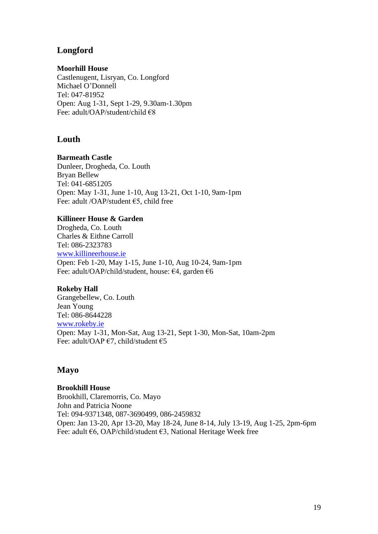# **Longford**

# **Moorhill House**

Castlenugent, Lisryan, Co. Longford Michael O'Donnell Tel: 047-81952 Open: Aug 1-31, Sept 1-29, 9.30am-1.30pm Fee: adult/OAP/student/child €8

# **Louth**

# **Barmeath Castle**

Dunleer, Drogheda, Co. Louth Bryan Bellew Tel: 041-6851205 Open: May 1-31, June 1-10, Aug 13-21, Oct 1-10, 9am-1pm Fee: adult /OAP/student €5, child free

# **Killineer House & Garden**

Drogheda, Co. Louth Charles & Eithne Carroll Tel: 086-2323783 [www.killineerhouse.ie](http://www.killineerhouse.ie/) Open: Feb 1-20, May 1-15, June 1-10, Aug 10-24, 9am-1pm Fee: adult/OAP/child/student, house: €4, garden €6

## **Rokeby Hall**

Grangebellew, Co. Louth Jean Young Tel: 086-8644228 [www.rokeby.ie](http://www.rokeby.ie/) Open: May 1-31, Mon-Sat, Aug 13-21, Sept 1-30, Mon-Sat, 10am-2pm Fee: adult/OAP €7, child/student €5

# **Mayo**

## **Brookhill House**

Brookhill, Claremorris, Co. Mayo John and Patricia Noone Tel: 094-9371348, 087-3690499, 086-2459832 Open: Jan 13-20, Apr 13-20, May 18-24, June 8-14, July 13-19, Aug 1-25, 2pm-6pm Fee: adult €6, OAP/child/student €3, National Heritage Week free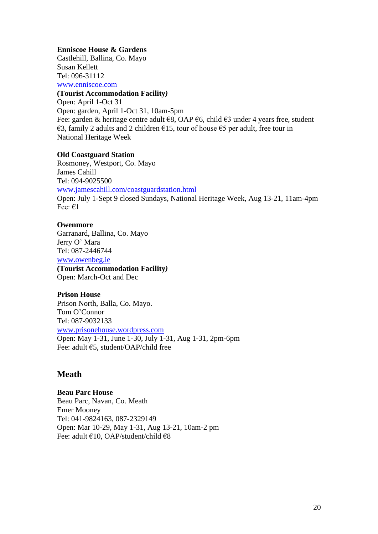#### **Enniscoe House & Gardens**

Castlehill, Ballina, Co. Mayo Susan Kellett Tel: 096-31112 [www.enniscoe.com](http://www.enniscoe.com/)

# **(Tourist Accommodation Facility***)*

Open: April 1-Oct 31 Open: garden, April 1-Oct 31, 10am-5pm Fee: garden & heritage centre adult €8, OAP €6, child €3 under 4 years free, student €3, family 2 adults and 2 children €15, tour of house €5 per adult, free tour in National Heritage Week

## **Old Coastguard Station**

Rosmoney, Westport, Co. Mayo James Cahill Tel: 094-9025500 [www.jamescahill.com/coastguardstation.html](http://www.jamescahill.com/coastguardstation.html) Open: July 1-Sept 9 closed Sundays, National Heritage Week, Aug 13-21, 11am-4pm Fee: €1

## **Owenmore**

Garranard, Ballina, Co. Mayo Jerry O' Mara Tel: 087-2446744 [www.owenbeg.ie](http://www.owenbeg.ie/) **(Tourist Accommodation Facility***)* Open: March-Oct and Dec

## **Prison House**

Prison North, Balla, Co. Mayo. Tom O'Connor Tel: 087-9032133 [www.prisonehouse.wordpress.com](http://www.prisonehouse.wordpress.com/) Open: May 1-31, June 1-30, July 1-31, Aug 1-31, 2pm-6pm Fee: adult €5, student/OAP/child free

# **Meath**

**Beau Parc House**

Beau Parc, Navan, Co. Meath Emer Mooney Tel: 041-9824163, 087-2329149 Open: Mar 10-29, May 1-31, Aug 13-21, 10am-2 pm Fee: adult €10, OAP/student/child €8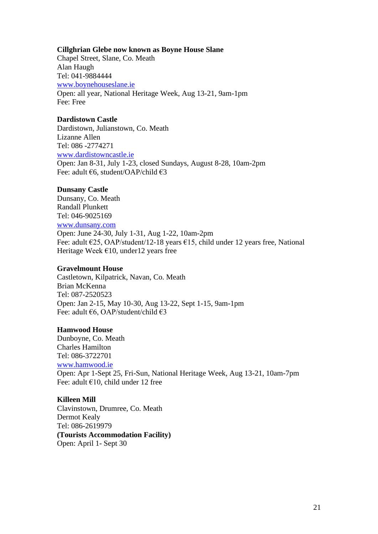#### **Cillghrian Glebe now known as Boyne House Slane**

Chapel Street, Slane, Co. Meath Alan Haugh Tel: 041-9884444 [www.boynehouseslane.ie](http://www.boynehouseslane.ie/) Open: all year, National Heritage Week, Aug 13-21, 9am-1pm Fee: Free

#### **Dardistown Castle**

Dardistown, Julianstown, Co. Meath Lizanne Allen Tel: 086 -2774271 [www.dardistowncastle.ie](http://www.dardistowncastle.ie/) Open: Jan 8-31, July 1-23, closed Sundays, August 8-28, 10am-2pm Fee: adult €6, student/OAP/child €3

#### **Dunsany Castle**

Dunsany, Co. Meath Randall Plunkett Tel: 046-9025169 [www.dunsany.com](http://www.dunsany.com/) Open: June 24-30, July 1-31, Aug 1-22, 10am-2pm Fee: adult €25, OAP/student/12-18 years €15, child under 12 years free, National Heritage Week  $\epsilon$ 10, under12 years free

#### **Gravelmount House**

Castletown, Kilpatrick, Navan, Co. Meath Brian McKenna Tel: 087-2520523 Open: Jan 2-15, May 10-30, Aug 13-22, Sept 1-15, 9am-1pm Fee: adult €6, OAP/student/child €3

## **Hamwood House**

Dunboyne, Co. Meath Charles Hamilton Tel: 086-3722701 [www.hamwood.ie](http://www.hamwood.ie/) Open: Apr 1-Sept 25, Fri-Sun, National Heritage Week, Aug 13-21, 10am-7pm Fee: adult €10, child under 12 free

# **Killeen Mill**

Clavinstown, Drumree, Co. Meath Dermot Kealy Tel: 086-2619979 **(Tourists Accommodation Facility)** Open: April 1- Sept 30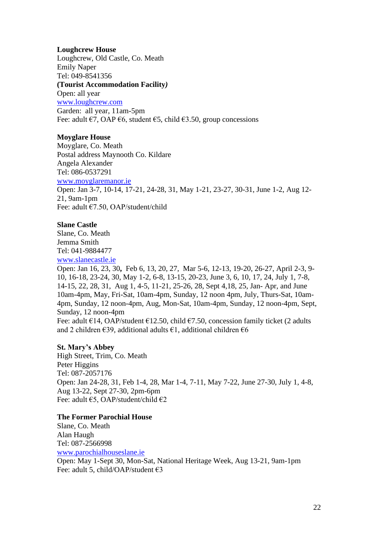## **Loughcrew House**

Loughcrew, Old Castle, Co. Meath Emily Naper Tel: 049-8541356 **(Tourist Accommodation Facility***)* Open: all year [www.loughcrew.com](http://www.loughcrew.com/) Garden: all year, 11am-5pm Fee: adult  $\epsilon$ 7, OAP  $\epsilon$ 6, student  $\epsilon$ 5, child  $\epsilon$ 3.50, group concessions

#### **Moyglare House**

Moyglare, Co. Meath Postal address Maynooth Co. Kildare Angela Alexander Tel: 086-0537291 [www.moyglaremanor.ie](http://www.moyglaremanor.ie/) Open: Jan 3-7, 10-14, 17-21, 24-28, 31, May 1-21, 23-27, 30-31, June 1-2, Aug 12- 21, 9am-1pm Fee: adult €7.50, OAP/student/child

## **Slane Castle**

Slane, Co. Meath Jemma Smith Tel: 041-9884477 [www.slanecastle.ie](http://www.slanecastle.ie/)

Open: Jan 16, 23, 30**,** Feb 6, 13, 20, 27, Mar 5-6, 12-13, 19-20, 26-27, April 2-3, 9- 10, 16-18, 23-24, 30, May 1-2, 6-8, 13-15, 20-23, June 3, 6, 10, 17, 24, July 1, 7-8, 14-15, 22, 28, 31, Aug 1, 4-5, 11-21, 25-26, 28, Sept 4,18, 25, Jan- Apr, and June 10am-4pm, May, Fri-Sat, 10am-4pm, Sunday, 12 noon 4pm, July, Thurs-Sat, 10am-4pm, Sunday, 12 noon-4pm, Aug, Mon-Sat, 10am-4pm, Sunday, 12 noon-4pm, Sept, Sunday, 12 noon-4pm Fee: adult  $\epsilon$ 14, OAP/student  $\epsilon$ 12.50, child  $\epsilon$ 7.50, concession family ticket (2 adults and 2 children  $\epsilon$ 39, additional adults  $\epsilon$ 1, additional children  $\epsilon$ 6

## **St. Mary's Abbey**

High Street, Trim, Co. Meath Peter Higgins Tel: 087-2057176 Open: Jan 24-28, 31, Feb 1-4, 28, Mar 1-4, 7-11, May 7-22, June 27-30, July 1, 4-8, Aug 13-22, Sept 27-30, 2pm-6pm Fee: adult €5, OAP/student/child €2

#### **The Former Parochial House**

Slane, Co. Meath Alan Haugh [Tel: 087-2566998](tel:01-6618199) [www.parochialhouseslane.ie](http://www.parochialhouseslane.ie/) Open: May 1-Sept 30, Mon-Sat, National Heritage Week, Aug 13-21, 9am-1pm Fee: adult 5, child/OAP/student €3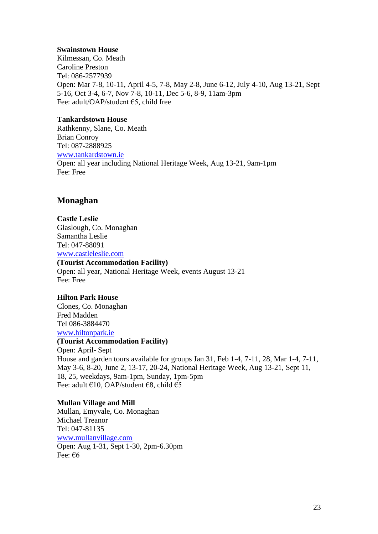#### **Swainstown House**

Kilmessan, Co. Meath Caroline Preston Tel: 086-2577939 Open: Mar 7-8, 10-11, April 4-5, 7-8, May 2-8, June 6-12, July 4-10, Aug 13-21, Sept 5-16, Oct 3-4, 6-7, Nov 7-8, 10-11, Dec 5-6, 8-9, 11am-3pm Fee: adult/OAP/student €5, child free

#### **Tankardstown House**

Rathkenny, Slane, Co. Meath Brian Conroy Tel: 087-2888925 [www.tankardstown.ie](http://www.tankardstown.ie/) Open: all year including National Heritage Week, Aug 13-21, 9am-1pm Fee: Free

# **Monaghan**

**Castle Leslie** Glaslough, Co. Monaghan Samantha Leslie Tel: 047-88091 [www.castleleslie.com](http://www.castleleslie.com/) **(Tourist Accommodation Facility)** Open: all year, National Heritage Week, events August 13-21 Fee: Free

## **Hilton Park House**

Clones, Co. Monaghan Fred Madden Tel 086-3884470 [www.hiltonpark.ie](http://www.hiltonpark.ie/) **(Tourist Accommodation Facility)** Open: April- Sept House and garden tours available for groups Jan 31, Feb 1-4, 7-11, 28, Mar 1-4, 7-11, May 3-6, 8-20, June 2, 13-17, 20-24, National Heritage Week, Aug 13-21, Sept 11, 18, 25, weekdays, 9am-1pm, Sunday, 1pm-5pm Fee: adult €10, OAP/student €8, child €5

## **Mullan Village and Mill**

Mullan, Emyvale, Co. Monaghan Michael Treanor Tel: 047-81135 [www.mullanvillage.com](http://www.mullanvillage.com/) Open: Aug 1-31, Sept 1-30, 2pm-6.30pm Fee: €6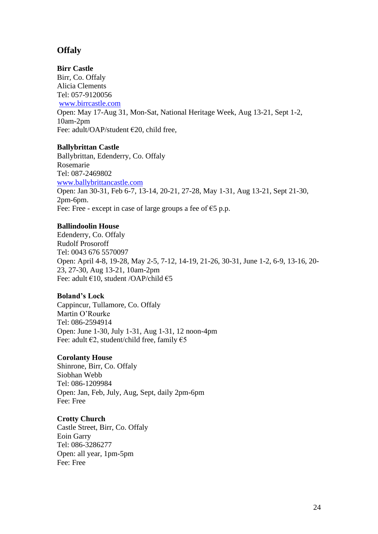# **Offaly**

## **Birr Castle**

Birr, Co. Offaly Alicia Clements [Tel: 057-9120056](tel:057-9120023,%20057-9120056) [www.birrcastle.com](http://www.birrcastle.com/) Open: May 17-Aug 31, Mon-Sat, National Heritage Week, Aug 13-21, Sept 1-2, 10am-2pm Fee: adult/OAP/student €20, child free,

# **Ballybrittan Castle**

Ballybrittan, Edenderry, Co. Offaly Rosemarie Tel: 087-2469802 [www.ballybrittancastle.com](http://www.ballybrittancastle.com/) Open: Jan 30-31, Feb 6-7, 13-14, 20-21, 27-28, May 1-31, Aug 13-21, Sept 21-30, 2pm-6pm. Fee: Free - except in case of large groups a fee of  $\epsilon$ 5 p.p.

# **Ballindoolin House**

Edenderry, Co. Offaly Rudolf Prosoroff Tel: 0043 676 5570097 Open: April 4-8, 19-28, May 2-5, 7-12, 14-19, 21-26, 30-31, June 1-2, 6-9, 13-16, 20- 23, 27-30, Aug 13-21, 10am-2pm Fee: adult €10, student /OAP/child €5

# **Boland's Lock**

Cappincur, Tullamore, Co. Offaly Martin O'Rourke Tel: 086-2594914 Open: June 1-30, July 1-31, Aug 1-31, 12 noon-4pm Fee: adult  $\epsilon$ 2, student/child free, family  $\epsilon$ 5

# **Corolanty House**

Shinrone, Birr, Co. Offaly Siobhan Webb Tel: 086-1209984 Open: Jan, Feb, July, Aug, Sept, daily 2pm-6pm Fee: Free

# **Crotty Church**

Castle Street, Birr, Co. Offaly Eoin Garry Tel: 086-3286277 Open: all year, 1pm-5pm Fee: Free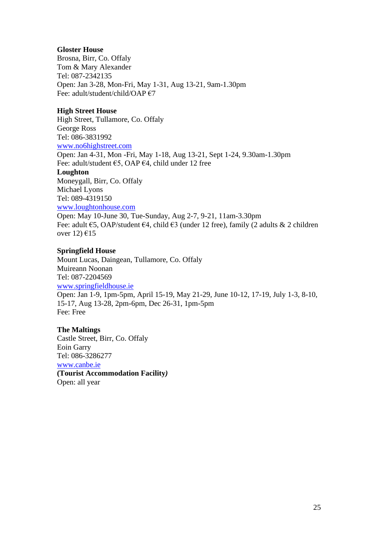## **Gloster House**

Brosna, Birr, Co. Offaly Tom & Mary Alexander Tel: 087-2342135 Open: Jan 3-28, Mon-Fri, May 1-31, Aug 13-21, 9am-1.30pm Fee: adult/student/child/OAP €7

## **High Street House**

High Street, Tullamore, Co. Offaly George Ross Tel: 086-3831992 [www.no6highstreet.com](http://www.no6highstreet.com/) Open: Jan 4-31, Mon -Fri, May 1-18, Aug 13-21, Sept 1-24, 9.30am-1.30pm Fee: adult/student €5, OAP €4, child under 12 free **Loughton** Moneygall, Birr, Co. Offaly Michael Lyons Tel: 089-4319150 [www.loughtonhouse.com](http://www.loughantownhouse.com/) Open: May 10-June 30, Tue-Sunday, Aug 2-7, 9-21, 11am-3.30pm Fee: adult €5, OAP/student €4, child €3 (under 12 free), family (2 adults & 2 children over 12)  $\epsilon$ 15

## **Springfield House**

Mount Lucas, Daingean, Tullamore, Co. Offaly Muireann Noonan Tel: 087-2204569 [www.springfieldhouse.ie](http://www.springfieldhouse.ie/) Open: Jan 1-9, 1pm-5pm, April 15-19, May 21-29, June 10-12, 17-19, July 1-3, 8-10, 15-17, Aug 13-28, 2pm-6pm, Dec 26-31, 1pm-5pm Fee: Free

**The Maltings** Castle Street, Birr, Co. Offaly Eoin Garry Tel: 086-3286277 [www.canbe.ie](http://www.canbe.ie/) **(Tourist Accommodation Facility***)* Open: all year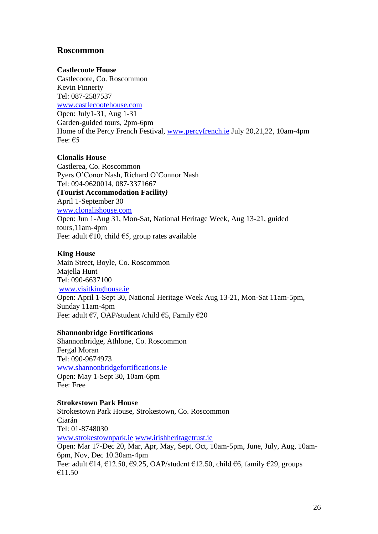# **Roscommon**

## **Castlecoote House**

Castlecoote, Co. Roscommon Kevin Finnerty Tel: 087-2587537 [www.castlecootehouse.com](http://www.castlecootehouse.com/) Open: July1-31, Aug 1-31 Garden-guided tours, 2pm-6pm Home of the Percy French Festival, [www.percyfrench.ie](http://www.percyfrench.ie/) July 20,21,22, 10am-4pm Fee: €5

#### **Clonalis House**

Castlerea, Co. Roscommon Pyers O'Conor Nash, Richard O'Connor Nash Tel: 094-9620014, 087-3371667 **(Tourist Accommodation Facility***)* April 1-September 30 [www.clonalishouse.com](http://www.clonalishouse.com/) Open: Jun 1-Aug 31, Mon-Sat, National Heritage Week, Aug 13-21, guided tours,11am-4pm Fee: adult  $\epsilon$ 10, child  $\epsilon$ 5, group rates available

#### **King House**

Main Street, Boyle, Co. Roscommon Majella Hunt Tel: 090-6637100 [www.visitkinghouse.ie](http://www.visitkinghouse.ie/) Open: April 1-Sept 30, National Heritage Week Aug 13-21, Mon-Sat 11am-5pm, Sunday 11am-4pm Fee: adult €7, OAP/student /child €5, Family €20

#### **Shannonbridge Fortifications**

Shannonbridge, Athlone, Co. Roscommon Fergal Moran Tel: 090-9674973 [www.shannonbridgefortifications.ie](http://www.shannonbridgefortifications.ie/) Open: May 1-Sept 30, 10am-6pm Fee: Free

## **Strokestown Park House**

Strokestown Park House, Strokestown, Co. Roscommon Ciarán Tel: 01-8748030 [www.strokestownpark.ie](http://www.strokestownpark.ie/) [www.irishheritagetrust.ie](http://www.irishheritagetrust.ie/) Open: Mar 17-Dec 20, Mar, Apr, May, Sept, Oct, 10am-5pm, June, July, Aug, 10am-6pm, Nov, Dec 10.30am-4pm Fee: adult €14, €12.50, €9.25, OAP/student €12.50, child €6, family €29, groups €11.50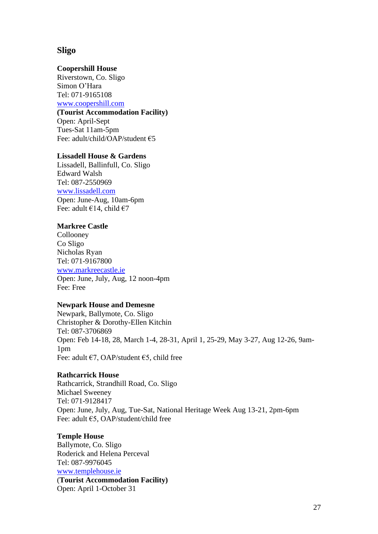# **Sligo**

#### **Coopershill House**

Riverstown, Co. Sligo Simon O'Hara Tel: 071-9165108 [www.coopershill.com](http://www.coopershill.com/) **(Tourist Accommodation Facility)** Open: April-Sept Tues-Sat 11am-5pm Fee: adult/child/OAP/student €5

#### **Lissadell House & Gardens**

Lissadell, Ballinfull, Co. Sligo Edward Walsh Tel: 087-2550969 [www.lissadell.com](http://www.lissadell.com/) Open: June-Aug, 10am-6pm Fee: adult  $\epsilon$ 14, child  $\epsilon$ 7

#### **Markree Castle**

Collooney Co Sligo Nicholas Ryan Tel: 071-9167800 [www.markreecastle.ie](http://www.markreecastle.ie/) Open: June, July, Aug, 12 noon-4pm Fee: Free

#### **Newpark House and Demesne**

Newpark, Ballymote, Co. Sligo Christopher & Dorothy-Ellen Kitchin Tel: 087-3706869 Open: Feb 14-18, 28, March 1-4, 28-31, April 1, 25-29, May 3-27, Aug 12-26, 9am-1pm Fee: adult €7, OAP/student €5, child free

#### **Rathcarrick House**

Rathcarrick, Strandhill Road, Co. Sligo Michael Sweeney Tel: 071-9128417 Open: June, July, Aug, Tue-Sat, National Heritage Week Aug 13-21, 2pm-6pm Fee: adult €5, OAP/student/child free

#### **Temple House**

Ballymote, Co. Sligo Roderick and Helena Perceval Tel: 087-9976045 [www.templehouse.ie](http://www.templehouse.ie/) (**Tourist Accommodation Facility)** Open: April 1-October 31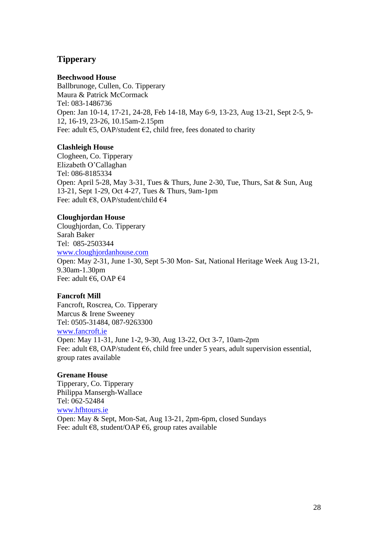# **Tipperary**

## **Beechwood House**

Ballbrunoge, Cullen, Co. Tipperary Maura & Patrick McCormack Tel: 083-1486736 Open: Jan 10-14, 17-21, 24-28, Feb 14-18, May 6-9, 13-23, Aug 13-21, Sept 2-5, 9- 12, 16-19, 23-26, 10.15am-2.15pm Fee: adult  $\epsilon$ 5, OAP/student  $\epsilon$ 2, child free, fees donated to charity

## **Clashleigh House**

Clogheen, Co. Tipperary Elizabeth O'Callaghan Tel: 086-8185334 Open: April 5-28, May 3-31, Tues & Thurs, June 2-30, Tue, Thurs, Sat & Sun, Aug 13-21, Sept 1-29, Oct 4-27, Tues & Thurs, 9am-1pm Fee: adult €8, OAP/student/child €4

## **Cloughjordan House**

Cloughjordan, Co. Tipperary Sarah Baker Tel: 085-2503344 [www.cloughjordanhouse.com](http://www.cloughjordanhouse.com/) Open: May 2-31, June 1-30, Sept 5-30 Mon- Sat, National Heritage Week Aug 13-21, 9.30am-1.30pm Fee: adult €6, OAP €4

## **Fancroft Mill**

Fancroft, Roscrea, Co. Tipperary Marcus & Irene Sweeney Tel: 0505-31484, 087-9263300

# [www.fancroft.ie](http://www.fancroft.ie/)

Open: May 11-31, June 1-2, 9-30, Aug 13-22, Oct 3-7, 10am-2pm Fee: adult  $€8$ , OAP/student  $€6$ , child free under 5 years, adult supervision essential, group rates available

#### **Grenane House**

Tipperary, Co. Tipperary Philippa Mansergh-Wallace Tel: 062-52484 [www.hfhtours.ie](http://www.hfhtours.ie/) Open: May & Sept, Mon-Sat, Aug 13-21, 2pm-6pm, closed Sundays Fee: adult  $\epsilon$ 8, student/OAP  $\epsilon$ 6, group rates available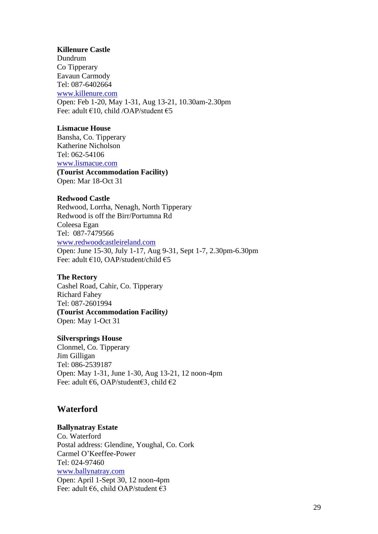#### **Killenure Castle**

Dundrum Co Tipperary Eavaun Carmody Tel: 087-6402664 [www.killenure.com](http://www.killenure.com/) Open: Feb 1-20, May 1-31, Aug 13-21, 10.30am-2.30pm Fee: adult €10, child /OAP/student €5

#### **Lismacue House**

Bansha, Co. Tipperary Katherine Nicholson Tel: 062-54106 [www.lismacue.com](http://www.lismacue.com/)

**(Tourist Accommodation Facility)** Open: Mar 18-Oct 31

## **Redwood Castle**

Redwood, Lorrha, Nenagh, North Tipperary Redwood is off the Birr/Portumna Rd Coleesa Egan Tel: 087-7479566 [www.redwoodcastleireland.com](http://www.redwoodcastleireland.com/) Open: June 15-30, July 1-17, Aug 9-31, Sept 1-7, 2.30pm-6.30pm Fee: adult €10, OAP/student/child €5

#### **The Rectory**

Cashel Road, Cahir, Co. Tipperary Richard Fahey Tel: 087-2601994 **(Tourist Accommodation Facility***)* Open: May 1-Oct 31

#### **Silversprings House**

Clonmel, Co. Tipperary Jim Gilligan Tel: 086-2539187 Open: May 1-31, June 1-30, Aug 13-21, 12 noon-4pm Fee: adult €6, OAP/student€3, child €2

# **Waterford**

#### **Ballynatray Estate**

Co. Waterford Postal address: Glendine, Youghal, Co. Cork Carmel O'Keeffee-Power Tel: 024-97460 [www.ballynatray.com](http://www.ballynatray.com/) Open: April 1-Sept 30, 12 noon-4pm Fee: adult €6, child OAP/student €3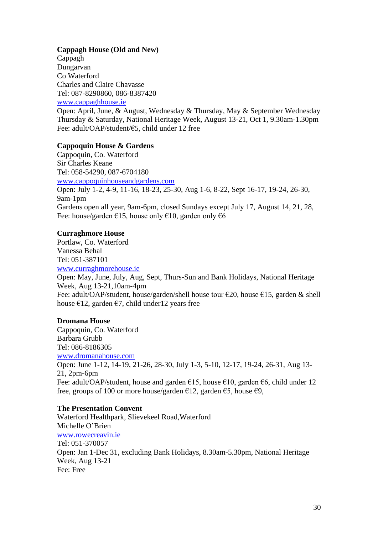## **Cappagh House (Old and New)**

Cappagh Dungarvan Co Waterford Charles and Claire Chavasse Tel: 087-8290860, 086-8387420 [www.cappaghhouse.ie](http://www.cappaghhouse.ie/)

Open: April, June, & August, Wednesday & Thursday, May & September Wednesday Thursday & Saturday, National Heritage Week, August 13-21, Oct 1, 9.30am-1.30pm Fee: adult/OAP/student/€5, child under 12 free

#### **Cappoquin House & Gardens**

Cappoquin, Co. Waterford Sir Charles Keane Tel: 058-54290, 087-6704180 [www.cappoquinhouseandgardens.com](http://www.cappoquinhouseandgardens.com/) Open: July 1-2, 4-9, 11-16, 18-23, 25-30, Aug 1-6, 8-22, Sept 16-17, 19-24, 26-30, 9am-1pm Gardens open all year, 9am-6pm, closed Sundays except July 17, August 14, 21, 28, Fee: house/garden €15, house only €10, garden only  $\epsilon$ 6

#### **Curraghmore House**

Portlaw, Co. Waterford Vanessa Behal Tel: 051-387101 [www.curraghmorehouse.ie](http://www.curraghmorehouse.ie/)

Open: May, June, July, Aug, Sept, Thurs-Sun and Bank Holidays, National Heritage Week, Aug 13-21,10am-4pm Fee: adult/OAP/student, house/garden/shell house tour  $\epsilon$ 20, house  $\epsilon$ 15, garden & shell house  $\epsilon$ 12, garden  $\epsilon$ 7, child under12 years free

#### **Dromana House**

Cappoquin, Co. Waterford Barbara Grubb Tel: 086-8186305 [www.dromanahouse.com](http://www.dromanahouse.com/) Open: June 1-12, 14-19, 21-26, 28-30, July 1-3, 5-10, 12-17, 19-24, 26-31, Aug 13- 21, 2pm-6pm Fee: adult/OAP/student, house and garden  $\epsilon$ 15, house  $\epsilon$ 10, garden  $\epsilon$ 6, child under 12 free, groups of 100 or more house/garden  $\epsilon$ 12, garden  $\epsilon$ 5, house  $\epsilon$ 9,

#### **The Presentation Convent**

Waterford Healthpark, Slievekeel Road,Waterford Michelle O'Brien [www.rowecreavin.ie](http://www.rowecreavin.ie/) Tel: 051-370057 Open: Jan 1-Dec 31, excluding Bank Holidays, 8.30am-5.30pm, National Heritage Week, Aug 13-21 Fee: Free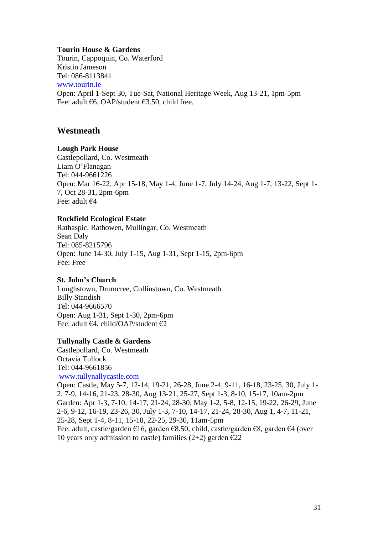#### **Tourin House & Gardens**

Tourin, Cappoquin, Co. Waterford Kristin Jameson Tel: 086-8113841 [www.tourin.ie](http://www.tourin.ie/) Open: April 1-Sept 30, Tue-Sat, National Heritage Week, Aug 13-21, 1pm-5pm Fee: adult €6, OAP/student €3.50, child free.

# **Westmeath**

## **Lough Park House**

Castlepollard, Co. Westmeath Liam O'Flanagan Tel: 044-9661226 Open: Mar 16-22, Apr 15-18, May 1-4, June 1-7, July 14-24, Aug 1-7, 13-22, Sept 1- 7, Oct 28-31, 2pm-6pm Fee: adult €4

## **Rockfield Ecological Estate**

Rathaspic, Rathowen, Mullingar, Co. Westmeath Sean Daly Tel: 085-8215796 Open: June 14-30, July 1-15, Aug 1-31, Sept 1-15, 2pm-6pm Fee: Free

## **St. John's Church**

Loughstown, Drumcree, Collinstown, Co. Westmeath Billy Standish Tel: 044-9666570 Open: Aug 1-31, Sept 1-30, 2pm-6pm Fee: adult  $\epsilon$ 4, child/OAP/student  $\epsilon$ 2

#### **Tullynally Castle & Gardens**

Castlepollard, Co. Westmeath Octavia Tullock Tel: 044-9661856 [www.tullynallycastle.com](http://www.tullynallycastle.com/)

Open: Castle, May 5-7, 12-14, 19-21, 26-28, June 2-4, 9-11, 16-18, 23-25, 30, July 1- 2, 7-9, 14-16, 21-23, 28-30, Aug 13-21, 25-27, Sept 1-3, 8-10, 15-17, 10am-2pm Garden: Apr 1-3, 7-10, 14-17, 21-24, 28-30, May 1-2, 5-8, 12-15, 19-22, 26-29, June 2-6, 9-12, 16-19, 23-26, 30, July 1-3, 7-10, 14-17, 21-24, 28-30, Aug 1, 4-7, 11-21, 25-28, Sept 1-4, 8-11, 15-18, 22-25, 29-30, 11am-5pm Fee: adult, castle/garden €16, garden €8.50, child, castle/garden €8, garden €4 (over

10 years only admission to castle) families (2+2) garden  $\epsilon$ 22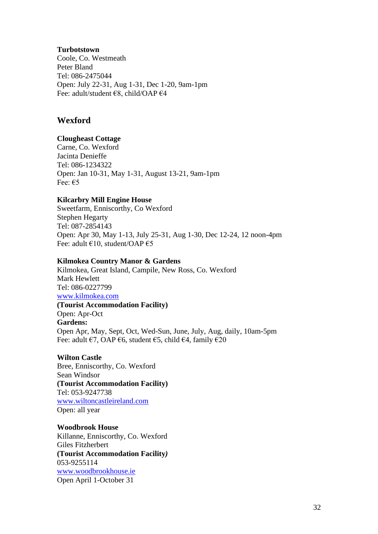#### **Turbotstown**

Coole, Co. Westmeath Peter Bland Tel: 086-2475044 Open: July 22-31, Aug 1-31, Dec 1-20, 9am-1pm Fee: adult/student €8, child/OAP €4

# **Wexford**

## **Clougheast Cottage**

Carne, Co. Wexford Jacinta Denieffe Tel: 086-1234322 Open: Jan 10-31, May 1-31, August 13-21, 9am-1pm Fee: €5

## **Kilcarbry Mill Engine House**

Sweetfarm, Enniscorthy, Co Wexford Stephen Hegarty Tel: 087-2854143 Open: Apr 30, May 1-13, July 25-31, Aug 1-30, Dec 12-24, 12 noon-4pm Fee: adult  $\epsilon$ 10, student/OAP  $\epsilon$ 5

## **Kilmokea Country Manor & Gardens**

Kilmokea, Great Island, Campile, New Ross, Co. Wexford Mark Hewlett Tel: 086-0227799 [www.kilmokea.com](http://www.kilmokea.com/) **(Tourist Accommodation Facility)** Open: Apr-Oct **Gardens:** Open Apr, May, Sept, Oct, Wed-Sun, June, July, Aug, daily, 10am-5pm Fee: adult €7, OAP €6, student €5, child €4, family €20

## **Wilton Castle**

Bree, Enniscorthy, Co. Wexford Sean Windsor **(Tourist Accommodation Facility)** Tel: 053-9247738 [www.wiltoncastleireland.com](http://www.wiltoncastleireland.com/) Open: all year

## **Woodbrook House**

Killanne, Enniscorthy, Co. Wexford Giles Fitzherbert **(Tourist Accommodation Facility***)* 053-9255114 [www.woodbrookhouse.ie](http://www.woodbrookhouse.ie/) Open April 1-October 31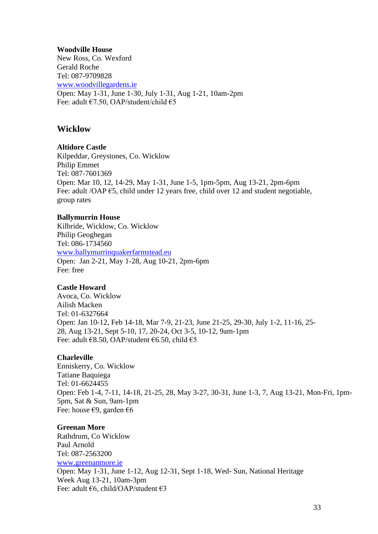#### **Woodville House**

New Ross, Co. Wexford Gerald Roche Tel: 087-9709828 [www.woodvillegardens.ie](http://www.woodville-garden.com/) Open: May 1-31, June 1-30, July 1-31, Aug 1-21, 10am-2pm Fee: adult €7.50, OAP/student/child €5

# **Wicklow**

## **Altidore Castle**

Kilpeddar, Greystones, Co. Wicklow Philip Emmet Tel: 087-7601369 Open: Mar 10, 12, 14-29, May 1-31, June 1-5, 1pm-5pm, Aug 13-21, 2pm-6pm Fee: adult /OAP €5, child under 12 years free, child over 12 and student negotiable, group rates

## **Ballymurrin House**

Kilbride, Wicklow, Co. Wicklow Philip Geoghegan Tel: 086-1734560 [www.ballymurrinquakerfarmstead.eu](http://www.ballymurrinquakerfarmstead.eu/) Open: Jan 2-21, May 1-28, Aug 10-21, 2pm-6pm Fee: free

## **Castle Howard**

Avoca, Co. Wicklow Ailish Macken Tel: 01-6327664 Open: Jan 10-12, Feb 14-18, Mar 7-9, 21-23, June 21-25, 29-30, July 1-2, 11-16, 25- 28, Aug 13-21, Sept 5-10, 17, 20-24, Oct 3-5, 10-12, 9am-1pm Fee: adult €8.50, OAP/student €6.50, child €5

## **Charleville**

Enniskerry, Co. Wicklow Tatiane Baquiega Tel: 01-6624455 Open: Feb 1-4, 7-11, 14-18, 21-25, 28, May 3-27, 30-31, June 1-3, 7, Aug 13-21, Mon-Fri, 1pm-5pm, Sat & Sun, 9am-1pm Fee: house  $\epsilon$ 9, garden  $\epsilon$ 6

## **Greenan More**

Rathdrum, Co Wicklow Paul Arnold Tel: 087-2563200 [www.greenanmore.ie](http://www.greenanmore.ie/) Open: May 1-31, June 1-12, Aug 12-31, Sept 1-18, Wed- Sun, National Heritage Week Aug 13-21, 10am-3pm Fee: adult €6, child/OAP/student €3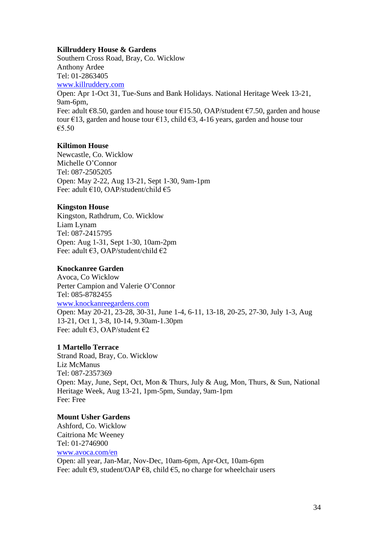#### **Killruddery House & Gardens**

Southern Cross Road, Bray, Co. Wicklow Anthony Ardee Tel: 01-2863405 [www.killruddery.com](http://www.killruddery.com/) Open: Apr 1-Oct 31, Tue-Suns and Bank Holidays. National Heritage Week 13-21, 9am-6pm, Fee: adult  $68.50$ , garden and house tour  $615.50$ , OAP/student  $67.50$ , garden and house tour  $\epsilon$ 13, garden and house tour  $\epsilon$ 13, child  $\epsilon$ 3, 4-16 years, garden and house tour €5.50

#### **Kiltimon House**

Newcastle, Co. Wicklow Michelle O'Connor Tel: 087-2505205 Open: May 2-22, Aug 13-21, Sept 1-30, 9am-1pm Fee: adult €10, OAP/student/child €5

# **Kingston House**

Kingston, Rathdrum, Co. Wicklow Liam Lynam Tel: 087-2415795 Open: Aug 1-31, Sept 1-30, 10am-2pm Fee: adult €3, OAP/student/child €2

# **Knockanree Garden**

Avoca, Co Wicklow Perter Campion and Valerie O'Connor Tel: 085-8782455 [www.knockanreegardens.com](http://www.knockanreegardens.com/) Open: May 20-21, 23-28, 30-31, June 1-4, 6-11, 13-18, 20-25, 27-30, July 1-3, Aug 13-21, Oct 1, 3-8, 10-14, 9.30am-1.30pm Fee: adult €3, OAP/student €2

#### **1 Martello Terrace**

Strand Road, Bray, Co. Wicklow Liz McManus Tel: 087-2357369 Open: May, June, Sept, Oct, Mon & Thurs, July & Aug, Mon, Thurs, & Sun, National Heritage Week, Aug 13-21, 1pm-5pm, Sunday, 9am-1pm Fee: Free

# **Mount Usher Gardens**

Ashford, Co. Wicklow Caitriona Mc Weeney Tel: 01-2746900 [www.avoca.com/en](http://www.mountushergardens.ie/) Open: all year, Jan-Mar, Nov-Dec, 10am-6pm, Apr-Oct, 10am-6pm Fee: adult  $\epsilon$ 9, student/OAP  $\epsilon$ 8, child  $\epsilon$ 5, no charge for wheelchair users